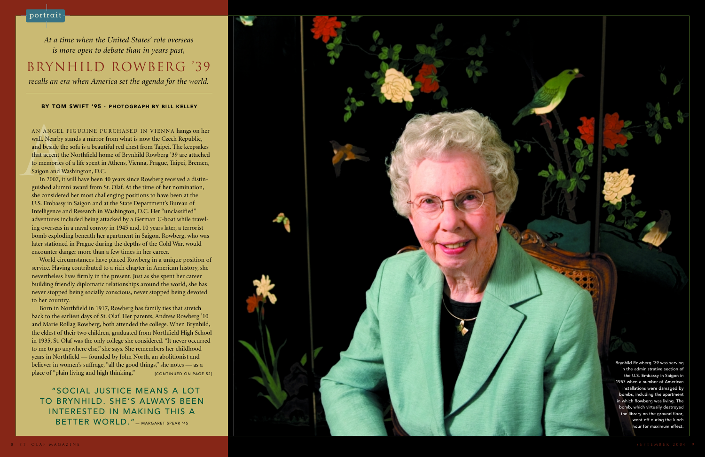## BY TOM SWIFT '95 · PHOTOGRAPH BY BILL KELLEY

AN ANGEL FIGURINE PURCHASED IN VIENNA hangs on her wall. Nearby stands a mirror from what is now the Czech Republic, and beside the sofa is a beautiful red chest from Taipei. The keepsakes that accent the Northfield home o

*At a time when the United States' role overseas is more open to debate than in years past,* BRYNHILD ROWBERG '39*recalls an era when America set the agenda for the world.*

> Brynhild Rowberg '39 was serving in the administrative section ofthe U.S. Embassy in Saigon in 1957 when a number of American installations were damaged by bombs, including the apartment in which Rowberg was living. The bomb, which virtually destroyed the library on the ground floor, went off during the lunch hour for maximum effect.

Born in Northfield in 1917, Rowberg has family ties that stretch back to the earliest days of St. Olaf. Her parents, Andrew Rowberg '10 and Marie Rollag Rowberg, both attended the college. When Brynhild, the eldest of their two children, graduated from Northfield High School in 1935, St. Olaf was the only college she considered. "It never occurred to me to go anywhere else," she says. She remembers her childhood years in Northfield — founded by John North, an abolitionist and believer in women's suffrage, "all the good things," she notes — as a place of "plain living and high thinking."  $[CONTINUED ON PAGE 52]$ 

In 2007, it will have been 40 years since Rowberg received a distinguished alumni award from St. Olaf. At the time of her nomination, she considered her most challenging positions to have been at the U.S. Embassy in Saigon and at the State Department's Bureau of Intelligence and Research in Washington, D.C. Her "unclassified" adventures included being attacked by a German U-boat while traveling overseas in a naval convoy in 1945 and, 10 years later, a terrorist bomb exploding beneath her apartment in Saigon. Rowberg, who was later stationed in Prague during the depths of the Cold War, would encounter danger more than a few times in her career.

World circumstances have placed Rowberg in a unique position of service. Having contributed to a rich chapter in American history, she nevertheless lives firmly in the present. Just as she spent her career building friendly diplomatic relationships around the world, she has never stopped being socially conscious, never stopped being devoted to her country.

"SOCIAL JUSTICE MEANS A LOT TO BRYNHILD. SHE'S ALWAYS BEENINTERESTED IN MAKING THIS A BETTER WORLD." — MARGARET SPEAR '45